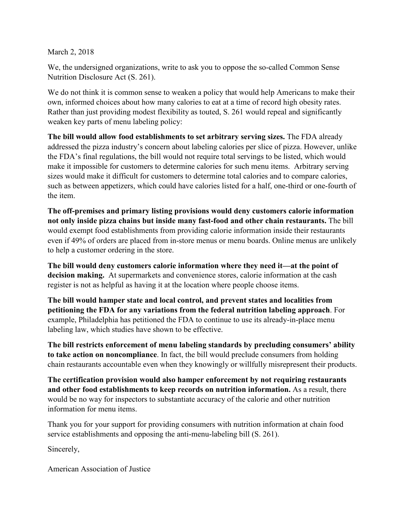March 2, 2018

We, the undersigned organizations, write to ask you to oppose the so-called Common Sense Nutrition Disclosure Act (S. 261).

We do not think it is common sense to weaken a policy that would help Americans to make their own, informed choices about how many calories to eat at a time of record high obesity rates. Rather than just providing modest flexibility as touted, S. 261 would repeal and significantly weaken key parts of menu labeling policy:

**The bill would allow food establishments to set arbitrary serving sizes.** The FDA already addressed the pizza industry's concern about labeling calories per slice of pizza. However, unlike the FDA's final regulations, the bill would not require total servings to be listed, which would make it impossible for customers to determine calories for such menu items.Arbitrary serving sizes would make it difficult for customers to determine total calories and to compare calories, such as between appetizers, which could have calories listed for a half, one-third or one-fourth of the item.

**The off-premises and primary listing provisions would deny customers calorie information not only inside pizza chains but inside many fast-food and other chain restaurants.** The bill would exempt food establishments from providing calorie information inside their restaurants even if 49% of orders are placed from in-store menus or menu boards. Online menus are unlikely to help a customer ordering in the store.

**The bill would deny customers calorie information where they need it—at the point of decision making.** At supermarkets and convenience stores, calorie information at the cash register is not as helpful as having it at the location where people choose items.

**The bill would hamper state and local control, and prevent states and localities from petitioning the FDA for any variations from the federal nutrition labeling approach**. For example, Philadelphia has petitioned the FDA to continue to use its already-in-place menu labeling law, which studies have shown to be effective.

**The bill restricts enforcement of menu labeling standards by precluding consumers' ability to take action on noncompliance**. In fact, the bill would preclude consumers from holding chain restaurants accountable even when they knowingly or willfully misrepresent their products.

**The certification provision would also hamper enforcement by not requiring restaurants and other food establishments to keep records on nutrition information.** As a result, there would be no way for inspectors to substantiate accuracy of the calorie and other nutrition information for menu items.

Thank you for your support for providing consumers with nutrition information at chain food service establishments and opposing the anti-menu-labeling bill (S. 261).

Sincerely,

American Association of Justice